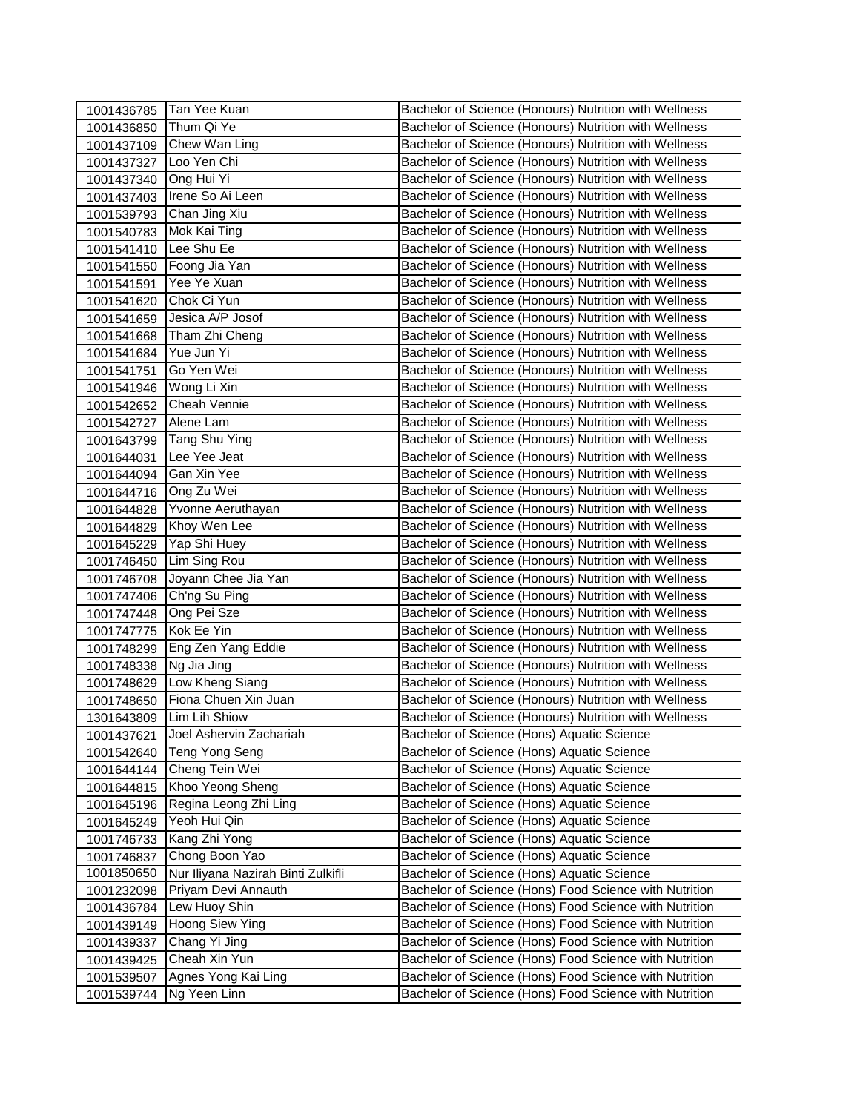|                          | 1001436785 Tan Yee Kuan                                   | Bachelor of Science (Honours) Nutrition with Wellness                                                |
|--------------------------|-----------------------------------------------------------|------------------------------------------------------------------------------------------------------|
| 1001436850               | Thum Qi Ye                                                | Bachelor of Science (Honours) Nutrition with Wellness                                                |
|                          | 1001437109 Chew Wan Ling                                  | Bachelor of Science (Honours) Nutrition with Wellness                                                |
| 1001437327               | Loo Yen Chi                                               | Bachelor of Science (Honours) Nutrition with Wellness                                                |
| 1001437340               | Ong Hui Yi                                                | Bachelor of Science (Honours) Nutrition with Wellness                                                |
| 1001437403               | Irene So Ai Leen                                          | Bachelor of Science (Honours) Nutrition with Wellness                                                |
| 1001539793               | Chan Jing Xiu                                             | Bachelor of Science (Honours) Nutrition with Wellness                                                |
| 1001540783               | Mok Kai Ting                                              | Bachelor of Science (Honours) Nutrition with Wellness                                                |
| 1001541410               | Lee Shu Ee                                                | Bachelor of Science (Honours) Nutrition with Wellness                                                |
| 1001541550               | Foong Jia Yan                                             | Bachelor of Science (Honours) Nutrition with Wellness                                                |
| 1001541591               | Yee Ye Xuan                                               | Bachelor of Science (Honours) Nutrition with Wellness                                                |
| 1001541620               | Chok Ci Yun                                               | Bachelor of Science (Honours) Nutrition with Wellness                                                |
| 1001541659               | Jesica A/P Josof                                          | Bachelor of Science (Honours) Nutrition with Wellness                                                |
| 1001541668               | Tham Zhi Cheng                                            | Bachelor of Science (Honours) Nutrition with Wellness                                                |
| 1001541684               | Yue Jun Yi                                                | Bachelor of Science (Honours) Nutrition with Wellness                                                |
| 1001541751               | Go Yen Wei                                                | Bachelor of Science (Honours) Nutrition with Wellness                                                |
| 1001541946               | Wong Li Xin                                               | Bachelor of Science (Honours) Nutrition with Wellness                                                |
| 1001542652               | <b>Cheah Vennie</b>                                       | Bachelor of Science (Honours) Nutrition with Wellness                                                |
| 1001542727               | Alene Lam                                                 | Bachelor of Science (Honours) Nutrition with Wellness                                                |
| 1001643799               | Tang Shu Ying                                             | Bachelor of Science (Honours) Nutrition with Wellness                                                |
| 1001644031               | Lee Yee Jeat                                              | Bachelor of Science (Honours) Nutrition with Wellness                                                |
| 1001644094               | <b>Gan Xin Yee</b>                                        | Bachelor of Science (Honours) Nutrition with Wellness                                                |
| 1001644716               | Ong Zu Wei                                                | Bachelor of Science (Honours) Nutrition with Wellness                                                |
| 1001644828               | Yvonne Aeruthayan                                         | Bachelor of Science (Honours) Nutrition with Wellness                                                |
|                          | 1001644829 Khoy Wen Lee                                   | Bachelor of Science (Honours) Nutrition with Wellness                                                |
| 1001645229               | Yap Shi Huey                                              | Bachelor of Science (Honours) Nutrition with Wellness                                                |
| 1001746450               | Lim Sing Rou                                              | Bachelor of Science (Honours) Nutrition with Wellness                                                |
| 1001746708               | Joyann Chee Jia Yan                                       | Bachelor of Science (Honours) Nutrition with Wellness                                                |
| 1001747406               | Ch'ng Su Ping                                             | Bachelor of Science (Honours) Nutrition with Wellness                                                |
| 1001747448               | Ong Pei Sze                                               | Bachelor of Science (Honours) Nutrition with Wellness                                                |
| 1001747775               | Kok Ee Yin                                                | Bachelor of Science (Honours) Nutrition with Wellness                                                |
| 1001748299               | Eng Zen Yang Eddie                                        | Bachelor of Science (Honours) Nutrition with Wellness                                                |
| 1001748338               | Ng Jia Jing                                               | Bachelor of Science (Honours) Nutrition with Wellness                                                |
| 1001748629               | Low Kheng Siang                                           | Bachelor of Science (Honours) Nutrition with Wellness                                                |
| 1001748650               | Fiona Chuen Xin Juan                                      | Bachelor of Science (Honours) Nutrition with Wellness                                                |
| 1301643809               | Lim Lih Shiow                                             | Bachelor of Science (Honours) Nutrition with Wellness                                                |
| 1001437621               | Joel Ashervin Zachariah                                   | Bachelor of Science (Hons) Aquatic Science                                                           |
| 1001542640               | Teng Yong Seng                                            | Bachelor of Science (Hons) Aquatic Science                                                           |
| 1001644144               | Cheng Tein Wei                                            | Bachelor of Science (Hons) Aquatic Science                                                           |
| 1001644815               | Khoo Yeong Sheng                                          | Bachelor of Science (Hons) Aquatic Science                                                           |
| 1001645196               | Regina Leong Zhi Ling                                     | Bachelor of Science (Hons) Aquatic Science                                                           |
| 1001645249               | Yeoh Hui Qin                                              | Bachelor of Science (Hons) Aquatic Science                                                           |
| 1001746733               | Kang Zhi Yong                                             | Bachelor of Science (Hons) Aquatic Science                                                           |
| 1001746837               | Chong Boon Yao                                            | Bachelor of Science (Hons) Aquatic Science                                                           |
| 1001850650               | Nur Iliyana Nazirah Binti Zulkifli<br>Priyam Devi Annauth | Bachelor of Science (Hons) Aquatic Science<br>Bachelor of Science (Hons) Food Science with Nutrition |
| 1001232098               | Lew Huoy Shin                                             | Bachelor of Science (Hons) Food Science with Nutrition                                               |
| 1001436784               | Hoong Siew Ying                                           | Bachelor of Science (Hons) Food Science with Nutrition                                               |
| 1001439149<br>1001439337 | Chang Yi Jing                                             | Bachelor of Science (Hons) Food Science with Nutrition                                               |
| 1001439425               | Cheah Xin Yun                                             | Bachelor of Science (Hons) Food Science with Nutrition                                               |
| 1001539507               | Agnes Yong Kai Ling                                       | Bachelor of Science (Hons) Food Science with Nutrition                                               |
| 1001539744               | Ng Yeen Linn                                              | Bachelor of Science (Hons) Food Science with Nutrition                                               |
|                          |                                                           |                                                                                                      |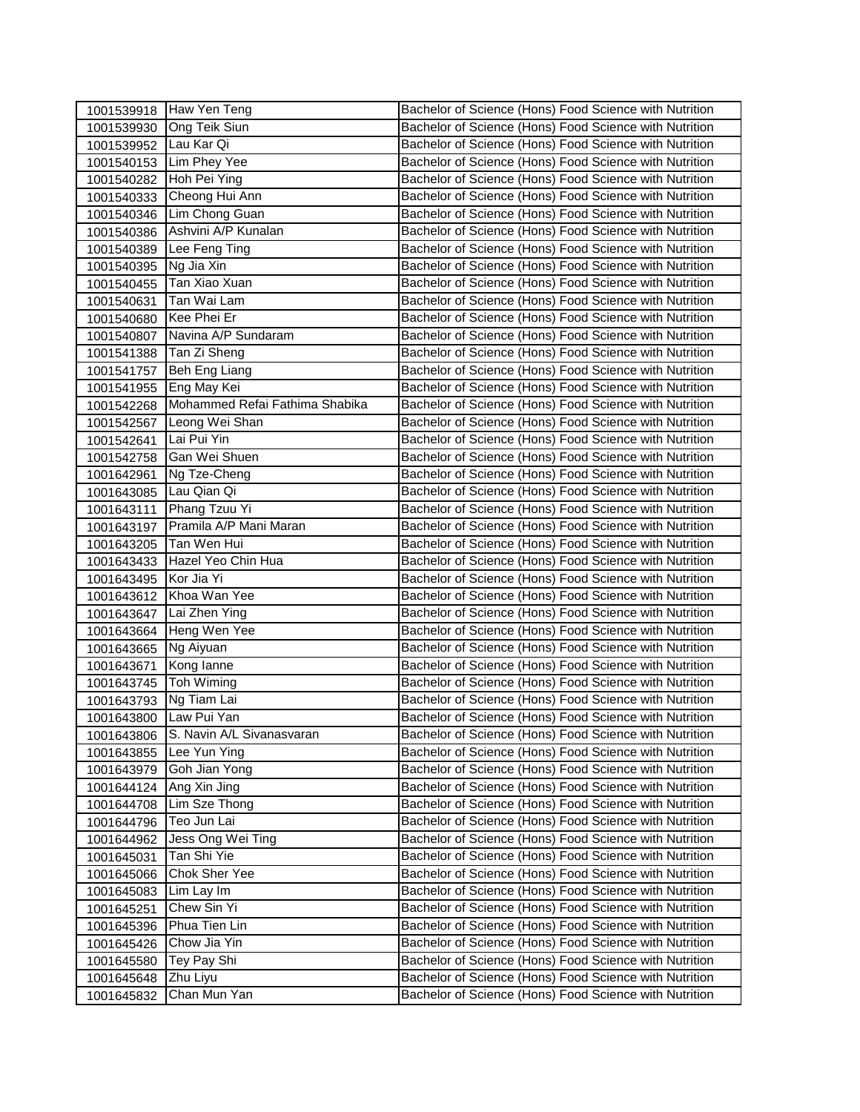|                       | 1001539918 Haw Yen Teng        | Bachelor of Science (Hons) Food Science with Nutrition |
|-----------------------|--------------------------------|--------------------------------------------------------|
| 1001539930            | <b>Ong Teik Siun</b>           | Bachelor of Science (Hons) Food Science with Nutrition |
| 1001539952 Lau Kar Qi |                                | Bachelor of Science (Hons) Food Science with Nutrition |
| 1001540153            | Lim Phey Yee                   | Bachelor of Science (Hons) Food Science with Nutrition |
| 1001540282            | Hoh Pei Ying                   | Bachelor of Science (Hons) Food Science with Nutrition |
| 1001540333            | Cheong Hui Ann                 | Bachelor of Science (Hons) Food Science with Nutrition |
| 1001540346            | Lim Chong Guan                 | Bachelor of Science (Hons) Food Science with Nutrition |
| 1001540386            | Ashvini A/P Kunalan            | Bachelor of Science (Hons) Food Science with Nutrition |
| 1001540389            | Lee Feng Ting                  | Bachelor of Science (Hons) Food Science with Nutrition |
| 1001540395            | Ng Jia Xin                     | Bachelor of Science (Hons) Food Science with Nutrition |
| 1001540455            | Tan Xiao Xuan                  | Bachelor of Science (Hons) Food Science with Nutrition |
| 1001540631            | Tan Wai Lam                    | Bachelor of Science (Hons) Food Science with Nutrition |
| 1001540680            | Kee Phei Er                    | Bachelor of Science (Hons) Food Science with Nutrition |
| 1001540807            | Navina A/P Sundaram            | Bachelor of Science (Hons) Food Science with Nutrition |
| 1001541388            | Tan Zi Sheng                   | Bachelor of Science (Hons) Food Science with Nutrition |
| 1001541757            | Beh Eng Liang                  | Bachelor of Science (Hons) Food Science with Nutrition |
| 1001541955            | Eng May Kei                    | Bachelor of Science (Hons) Food Science with Nutrition |
| 1001542268            | Mohammed Refai Fathima Shabika | Bachelor of Science (Hons) Food Science with Nutrition |
| 1001542567            | Leong Wei Shan                 | Bachelor of Science (Hons) Food Science with Nutrition |
| 1001542641            | Lai Pui Yin                    | Bachelor of Science (Hons) Food Science with Nutrition |
| 1001542758            | Gan Wei Shuen                  | Bachelor of Science (Hons) Food Science with Nutrition |
| 1001642961            | Ng Tze-Cheng                   | Bachelor of Science (Hons) Food Science with Nutrition |
| 1001643085            | Lau Qian Qi                    | Bachelor of Science (Hons) Food Science with Nutrition |
| 1001643111            | Phang Tzuu Yi                  | Bachelor of Science (Hons) Food Science with Nutrition |
| 1001643197            | Pramila A/P Mani Maran         | Bachelor of Science (Hons) Food Science with Nutrition |
| 1001643205            | Tan Wen Hui                    | Bachelor of Science (Hons) Food Science with Nutrition |
| 1001643433            | Hazel Yeo Chin Hua             | Bachelor of Science (Hons) Food Science with Nutrition |
| 1001643495            | Kor Jia Yi                     | Bachelor of Science (Hons) Food Science with Nutrition |
| 1001643612            | Khoa Wan Yee                   | Bachelor of Science (Hons) Food Science with Nutrition |
| 1001643647            | Lai Zhen Ying                  | Bachelor of Science (Hons) Food Science with Nutrition |
| 1001643664            | Heng Wen Yee                   | Bachelor of Science (Hons) Food Science with Nutrition |
| 1001643665            | Ng Aiyuan                      | Bachelor of Science (Hons) Food Science with Nutrition |
| 1001643671            | Kong lanne                     | Bachelor of Science (Hons) Food Science with Nutrition |
| 1001643745            | Toh Wiming                     | Bachelor of Science (Hons) Food Science with Nutrition |
| 1001643793            | Ng Tiam Lai                    | Bachelor of Science (Hons) Food Science with Nutrition |
| 1001643800            | Law Pui Yan                    | Bachelor of Science (Hons) Food Science with Nutrition |
| 1001643806            | S. Navin A/L Sivanasvaran      | Bachelor of Science (Hons) Food Science with Nutrition |
| 1001643855            | Lee Yun Ying                   | Bachelor of Science (Hons) Food Science with Nutrition |
| 1001643979            | Goh Jian Yong                  | Bachelor of Science (Hons) Food Science with Nutrition |
| 1001644124            | Ang Xin Jing                   | Bachelor of Science (Hons) Food Science with Nutrition |
| 1001644708            | Lim Sze Thong                  | Bachelor of Science (Hons) Food Science with Nutrition |
| 1001644796            | Teo Jun Lai                    | Bachelor of Science (Hons) Food Science with Nutrition |
| 1001644962            | Jess Ong Wei Ting              | Bachelor of Science (Hons) Food Science with Nutrition |
| 1001645031            | Tan Shi Yie                    | Bachelor of Science (Hons) Food Science with Nutrition |
| 1001645066            | Chok Sher Yee                  | Bachelor of Science (Hons) Food Science with Nutrition |
| 1001645083            | Lim Lay Im                     | Bachelor of Science (Hons) Food Science with Nutrition |
| 1001645251            | Chew Sin Yi                    | Bachelor of Science (Hons) Food Science with Nutrition |
| 1001645396            | Phua Tien Lin<br>Chow Jia Yin  | Bachelor of Science (Hons) Food Science with Nutrition |
| 1001645426            |                                | Bachelor of Science (Hons) Food Science with Nutrition |
| 1001645580            | Tey Pay Shi                    | Bachelor of Science (Hons) Food Science with Nutrition |
| 1001645648            | Zhu Liyu                       | Bachelor of Science (Hons) Food Science with Nutrition |
| 1001645832            | Chan Mun Yan                   | Bachelor of Science (Hons) Food Science with Nutrition |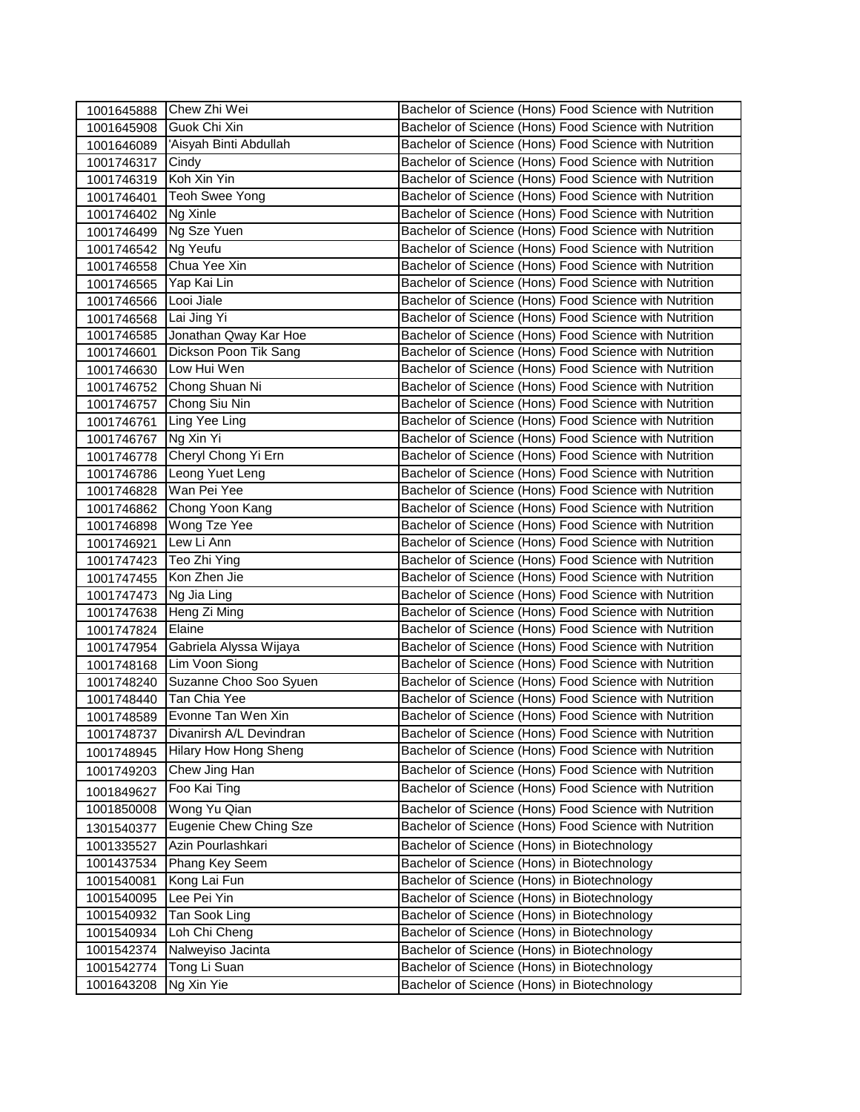| 1001645888 | Chew Zhi Wei                 | Bachelor of Science (Hons) Food Science with Nutrition |
|------------|------------------------------|--------------------------------------------------------|
| 1001645908 | Guok Chi Xin                 | Bachelor of Science (Hons) Food Science with Nutrition |
| 1001646089 | 'Aisyah Binti Abdullah       | Bachelor of Science (Hons) Food Science with Nutrition |
| 1001746317 | Cindy                        | Bachelor of Science (Hons) Food Science with Nutrition |
| 1001746319 | Koh Xin Yin                  | Bachelor of Science (Hons) Food Science with Nutrition |
| 1001746401 | <b>Teoh Swee Yong</b>        | Bachelor of Science (Hons) Food Science with Nutrition |
| 1001746402 | Ng Xinle                     | Bachelor of Science (Hons) Food Science with Nutrition |
| 1001746499 | Ng Sze Yuen                  | Bachelor of Science (Hons) Food Science with Nutrition |
| 1001746542 | Ng Yeufu                     | Bachelor of Science (Hons) Food Science with Nutrition |
| 1001746558 | Chua Yee Xin                 | Bachelor of Science (Hons) Food Science with Nutrition |
| 1001746565 | Yap Kai Lin                  | Bachelor of Science (Hons) Food Science with Nutrition |
| 1001746566 | Looi Jiale                   | Bachelor of Science (Hons) Food Science with Nutrition |
| 1001746568 | Lai Jing Yi                  | Bachelor of Science (Hons) Food Science with Nutrition |
| 1001746585 | Jonathan Qway Kar Hoe        | Bachelor of Science (Hons) Food Science with Nutrition |
| 1001746601 | Dickson Poon Tik Sang        | Bachelor of Science (Hons) Food Science with Nutrition |
| 1001746630 | Low Hui Wen                  | Bachelor of Science (Hons) Food Science with Nutrition |
| 1001746752 | Chong Shuan Ni               | Bachelor of Science (Hons) Food Science with Nutrition |
| 1001746757 | Chong Siu Nin                | Bachelor of Science (Hons) Food Science with Nutrition |
| 1001746761 | Ling Yee Ling                | Bachelor of Science (Hons) Food Science with Nutrition |
| 1001746767 | Ng Xin Yi                    | Bachelor of Science (Hons) Food Science with Nutrition |
| 1001746778 | Cheryl Chong Yi Ern          | Bachelor of Science (Hons) Food Science with Nutrition |
| 1001746786 | Leong Yuet Leng              | Bachelor of Science (Hons) Food Science with Nutrition |
| 1001746828 | Wan Pei Yee                  | Bachelor of Science (Hons) Food Science with Nutrition |
| 1001746862 | Chong Yoon Kang              | Bachelor of Science (Hons) Food Science with Nutrition |
| 1001746898 | Wong Tze Yee                 | Bachelor of Science (Hons) Food Science with Nutrition |
| 1001746921 | Lew Li Ann                   | Bachelor of Science (Hons) Food Science with Nutrition |
| 1001747423 | Teo Zhi Ying                 | Bachelor of Science (Hons) Food Science with Nutrition |
| 1001747455 | Kon Zhen Jie                 | Bachelor of Science (Hons) Food Science with Nutrition |
| 1001747473 | Ng Jia Ling                  | Bachelor of Science (Hons) Food Science with Nutrition |
| 1001747638 | Heng Zi Ming                 | Bachelor of Science (Hons) Food Science with Nutrition |
| 1001747824 | Elaine                       | Bachelor of Science (Hons) Food Science with Nutrition |
| 1001747954 | Gabriela Alyssa Wijaya       | Bachelor of Science (Hons) Food Science with Nutrition |
| 1001748168 | Lim Voon Siong               | Bachelor of Science (Hons) Food Science with Nutrition |
| 1001748240 | Suzanne Choo Soo Syuen       | Bachelor of Science (Hons) Food Science with Nutrition |
| 1001748440 | Tan Chia Yee                 | Bachelor of Science (Hons) Food Science with Nutrition |
| 1001748589 | Evonne Tan Wen Xin           | Bachelor of Science (Hons) Food Science with Nutrition |
| 1001748737 | Divanirsh A/L Devindran      | Bachelor of Science (Hons) Food Science with Nutrition |
| 1001748945 | <b>Hilary How Hong Sheng</b> | Bachelor of Science (Hons) Food Science with Nutrition |
| 1001749203 | Chew Jing Han                | Bachelor of Science (Hons) Food Science with Nutrition |
| 1001849627 | Foo Kai Ting                 | Bachelor of Science (Hons) Food Science with Nutrition |
| 1001850008 | Wong Yu Qian                 | Bachelor of Science (Hons) Food Science with Nutrition |
| 1301540377 | Eugenie Chew Ching Sze       | Bachelor of Science (Hons) Food Science with Nutrition |
| 1001335527 | Azin Pourlashkari            | Bachelor of Science (Hons) in Biotechnology            |
| 1001437534 | Phang Key Seem               | Bachelor of Science (Hons) in Biotechnology            |
| 1001540081 | Kong Lai Fun                 | Bachelor of Science (Hons) in Biotechnology            |
| 1001540095 | Lee Pei Yin                  | Bachelor of Science (Hons) in Biotechnology            |
| 1001540932 | Tan Sook Ling                | Bachelor of Science (Hons) in Biotechnology            |
| 1001540934 | Loh Chi Cheng                | Bachelor of Science (Hons) in Biotechnology            |
| 1001542374 | Nalweyiso Jacinta            | Bachelor of Science (Hons) in Biotechnology            |
| 1001542774 | Tong Li Suan                 | Bachelor of Science (Hons) in Biotechnology            |
| 1001643208 | Ng Xin Yie                   | Bachelor of Science (Hons) in Biotechnology            |